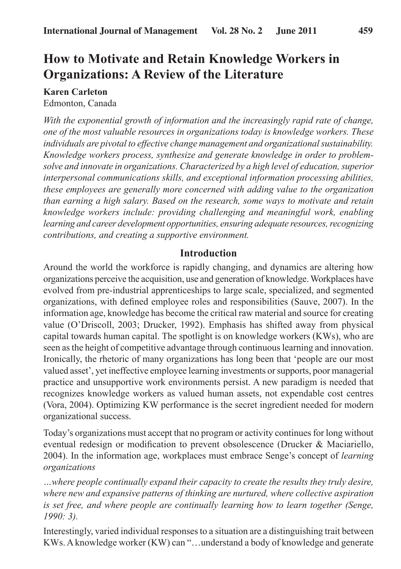# **How to Motivate and Retain Knowledge Workers in Organizations: A Review of the Literature**

**Karen Carleton** Edmonton, Canada

*With the exponential growth of information and the increasingly rapid rate of change, one of the most valuable resources in organizations today is knowledge workers. These individuals are pivotal to effective change management and organizational sustainability. Knowledge workers process, synthesize and generate knowledge in order to problemsolve and innovate in organizations. Characterized by a high level of education, superior interpersonal communications skills, and exceptional information processing abilities, these employees are generally more concerned with adding value to the organization than earning a high salary. Based on the research, some ways to motivate and retain knowledge workers include: providing challenging and meaningful work, enabling learning and career development opportunities, ensuring adequate resources, recognizing contributions, and creating a supportive environment.*

## **Introduction**

Around the world the workforce is rapidly changing, and dynamics are altering how organizations perceive the acquisition, use and generation of knowledge. Workplaces have evolved from pre-industrial apprenticeships to large scale, specialized, and segmented organizations, with defined employee roles and responsibilities (Sauve, 2007). In the information age, knowledge has become the critical raw material and source for creating value (O'Driscoll, 2003; Drucker, 1992). Emphasis has shifted away from physical capital towards human capital. The spotlight is on knowledge workers (KWs), who are seen as the height of competitive advantage through continuous learning and innovation. Ironically, the rhetoric of many organizations has long been that 'people are our most valued asset', yet ineffective employee learning investments or supports, poor managerial practice and unsupportive work environments persist. A new paradigm is needed that recognizes knowledge workers as valued human assets, not expendable cost centres (Vora, 2004). Optimizing KW performance is the secret ingredient needed for modern organizational success.

Today's organizations must accept that no program or activity continues for long without eventual redesign or modification to prevent obsolescence (Drucker & Maciariello, 2004). In the information age, workplaces must embrace Senge's concept of *learning organizations*

*…where people continually expand their capacity to create the results they truly desire, where new and expansive patterns of thinking are nurtured, where collective aspiration is set free, and where people are continually learning how to learn together (Senge, 1990: 3).*

Interestingly, varied individual responses to a situation are a distinguishing trait between KWs. A knowledge worker (KW) can "…understand a body of knowledge and generate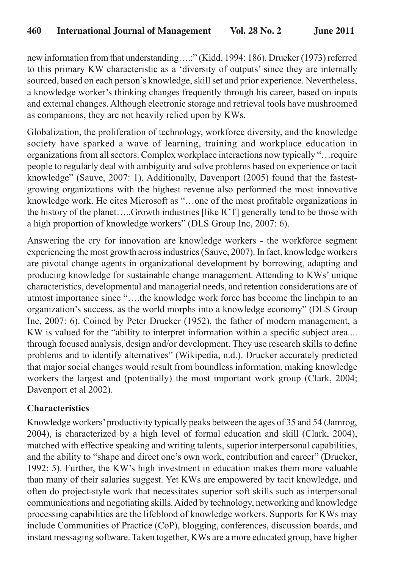new information from that understanding….:" (Kidd, 1994: 186). Drucker (1973) referred to this primary KW characteristic as a 'diversity of outputs' since they are internally sourced, based on each person's knowledge, skill set and prior experience. Nevertheless, a knowledge worker's thinking changes frequently through his career, based on inputs and external changes. Although electronic storage and retrieval tools have mushroomed as companions, they are not heavily relied upon by KWs.

Globalization, the proliferation of technology, workforce diversity, and the knowledge society have sparked a wave of learning, training and workplace education in organizations from all sectors. Complex workplace interactions now typically "…require people to regularly deal with ambiguity and solve problems based on experience or tacit knowledge" (Sauve, 2007: 1). Additionally, Davenport (2005) found that the fastestgrowing organizations with the highest revenue also performed the most innovative knowledge work. He cites Microsoft as "…one of the most profitable organizations in the history of the planet…..Growth industries [like ICT] generally tend to be those with a high proportion of knowledge workers" (DLS Group Inc, 2007: 6).

Answering the cry for innovation are knowledge workers - the workforce segment experiencing the most growth across industries (Sauve, 2007). In fact, knowledge workers are pivotal change agents in organizational development by borrowing, adapting and producing knowledge for sustainable change management. Attending to KWs' unique characteristics, developmental and managerial needs, and retention considerations are of utmost importance since "….the knowledge work force has become the linchpin to an organization's success, as the world morphs into a knowledge economy" (DLS Group Inc, 2007: 6). Coined by Peter Drucker (1952), the father of modern management, a KW is valued for the "ability to interpret information within a specific subject area.... through focused analysis, design and/or development. They use research skills to define problems and to identify alternatives" (Wikipedia, n.d.). Drucker accurately predicted that major social changes would result from boundless information, making knowledge workers the largest and (potentially) the most important work group (Clark, 2004; Davenport et al 2002).

# **Characteristics**

Knowledge workers' productivity typically peaks between the ages of 35 and 54 (Jamrog, 2004), is characterized by a high level of formal education and skill (Clark, 2004), matched with effective speaking and writing talents, superior interpersonal capabilities, and the ability to "shape and direct one's own work, contribution and career" (Drucker, 1992: 5). Further, the KW's high investment in education makes them more valuable than many of their salaries suggest. Yet KWs are empowered by tacit knowledge, and often do project-style work that necessitates superior soft skills such as interpersonal communications and negotiating skills. Aided by technology, networking and knowledge processing capabilities are the lifeblood of knowledge workers. Supports for KWs may include Communities of Practice (CoP), blogging, conferences, discussion boards, and instant messaging software. Taken together, KWs are a more educated group, have higher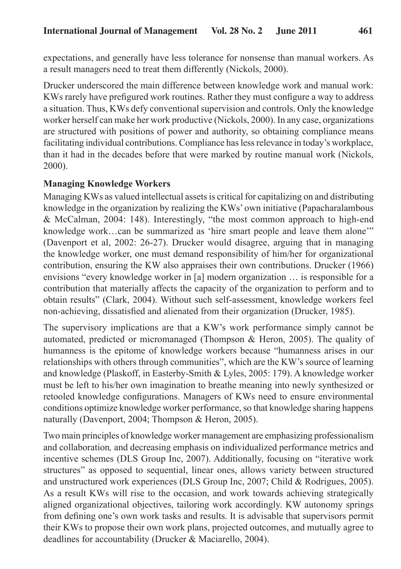expectations, and generally have less tolerance for nonsense than manual workers. As a result managers need to treat them differently (Nickols, 2000).

Drucker underscored the main difference between knowledge work and manual work: KWs rarely have prefigured work routines. Rather they must configure a way to address a situation. Thus, KWs defy conventional supervision and controls. Only the knowledge worker herself can make her work productive (Nickols, 2000). In any case, organizations are structured with positions of power and authority, so obtaining compliance means facilitating individual contributions. Compliance has less relevance in today's workplace, than it had in the decades before that were marked by routine manual work (Nickols, 2000).

#### **Managing Knowledge Workers**

Managing KWs as valued intellectual assets is critical for capitalizing on and distributing knowledge in the organization by realizing the KWs' own initiative (Papacharalambous & McCalman, 2004: 148). Interestingly, "the most common approach to high-end knowledge work...can be summarized as 'hire smart people and leave them alone'" (Davenport et al, 2002: 26-27). Drucker would disagree, arguing that in managing the knowledge worker, one must demand responsibility of him/her for organizational contribution, ensuring the KW also appraises their own contributions. Drucker (1966) envisions "every knowledge worker in [a] modern organization … is responsible for a contribution that materially affects the capacity of the organization to perform and to obtain results" (Clark, 2004). Without such self-assessment, knowledge workers feel non-achieving, dissatisfied and alienated from their organization (Drucker, 1985).

The supervisory implications are that a KW's work performance simply cannot be automated, predicted or micromanaged (Thompson & Heron, 2005). The quality of humanness is the epitome of knowledge workers because "humanness arises in our relationships with others through communities", which are the KW's source of learning and knowledge (Plaskoff, in Easterby-Smith & Lyles, 2005: 179). A knowledge worker must be left to his/her own imagination to breathe meaning into newly synthesized or retooled knowledge configurations. Managers of KWs need to ensure environmental conditions optimize knowledge worker performance, so that knowledge sharing happens naturally (Davenport, 2004; Thompson & Heron, 2005).

Two main principles of knowledge worker management are emphasizing professionalism and collaboration*,* and decreasing emphasis on individualized performance metrics and incentive schemes (DLS Group Inc, 2007). Additionally, focusing on "iterative work structures" as opposed to sequential, linear ones, allows variety between structured and unstructured work experiences (DLS Group Inc, 2007; Child & Rodrigues, 2005). As a result KWs will rise to the occasion, and work towards achieving strategically aligned organizational objectives, tailoring work accordingly. KW autonomy springs from defining one's own work tasks and results. It is advisable that supervisors permit their KWs to propose their own work plans, projected outcomes, and mutually agree to deadlines for accountability (Drucker & Maciarello, 2004).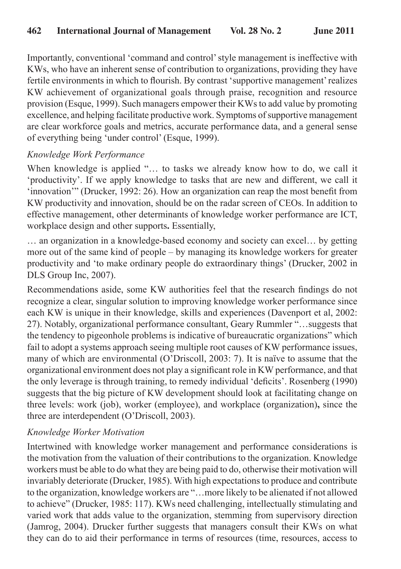Importantly, conventional 'command and control' style management is ineffective with KWs, who have an inherent sense of contribution to organizations, providing they have fertile environments in which to flourish. By contrast 'supportive management' realizes KW achievement of organizational goals through praise, recognition and resource provision (Esque, 1999). Such managers empower their KWs to add value by promoting excellence, and helping facilitate productive work. Symptoms of supportive management are clear workforce goals and metrics, accurate performance data, and a general sense of everything being 'under control' (Esque, 1999).

## *Knowledge Work Performance*

When knowledge is applied "... to tasks we already know how to do, we call it 'productivity'. If we apply knowledge to tasks that are new and different, we call it 'innovation'" (Drucker, 1992: 26). How an organization can reap the most benefit from KW productivity and innovation, should be on the radar screen of CEOs. In addition to effective management, other determinants of knowledge worker performance are ICT, workplace design and other supports**.** Essentially,

… an organization in a knowledge-based economy and society can excel… by getting more out of the same kind of people – by managing its knowledge workers for greater productivity and 'to make ordinary people do extraordinary things' (Drucker, 2002 in DLS Group Inc, 2007).

Recommendations aside, some KW authorities feel that the research findings do not recognize a clear, singular solution to improving knowledge worker performance since each KW is unique in their knowledge, skills and experiences (Davenport et al, 2002: 27). Notably, organizational performance consultant, Geary Rummler "…suggests that the tendency to pigeonhole problems is indicative of bureaucratic organizations" which fail to adopt a systems approach seeing multiple root causes of KW performance issues, many of which are environmental (O'Driscoll, 2003: 7). It is naïve to assume that the organizational environment does not play a significant role in KW performance, and that the only leverage is through training, to remedy individual 'deficits'. Rosenberg (1990) suggests that the big picture of KW development should look at facilitating change on three levels: work (job), worker (employee), and workplace (organization)**,** since the three are interdependent (O'Driscoll, 2003).

## *Knowledge Worker Motivation*

Intertwined with knowledge worker management and performance considerations is the motivation from the valuation of their contributions to the organization. Knowledge workers must be able to do what they are being paid to do, otherwise their motivation will invariably deteriorate (Drucker, 1985). With high expectations to produce and contribute to the organization, knowledge workers are "…more likely to be alienated if not allowed to achieve" (Drucker, 1985: 117). KWs need challenging, intellectually stimulating and varied work that adds value to the organization, stemming from supervisory direction (Jamrog, 2004). Drucker further suggests that managers consult their KWs on what they can do to aid their performance in terms of resources (time, resources, access to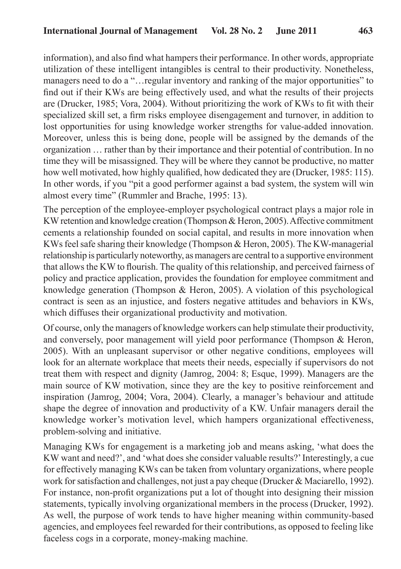information), and also find what hampers their performance. In other words, appropriate utilization of these intelligent intangibles is central to their productivity. Nonetheless, managers need to do a "…regular inventory and ranking of the major opportunities" to find out if their KWs are being effectively used, and what the results of their projects are (Drucker, 1985; Vora, 2004). Without prioritizing the work of KWs to fit with their specialized skill set, a firm risks employee disengagement and turnover, in addition to lost opportunities for using knowledge worker strengths for value-added innovation. Moreover, unless this is being done, people will be assigned by the demands of the organization … rather than by their importance and their potential of contribution. In no time they will be misassigned. They will be where they cannot be productive, no matter how well motivated, how highly qualified, how dedicated they are (Drucker, 1985: 115). In other words, if you "pit a good performer against a bad system, the system will win almost every time" (Rummler and Brache, 1995: 13).

The perception of the employee-employer psychological contract plays a major role in KW retention and knowledge creation (Thompson & Heron, 2005). Affective commitment cements a relationship founded on social capital, and results in more innovation when KWs feel safe sharing their knowledge (Thompson & Heron, 2005). The KW-managerial relationship is particularly noteworthy, as managers are central to a supportive environment that allows the KW to flourish. The quality of this relationship, and perceived fairness of policy and practice application, provides the foundation for employee commitment and knowledge generation (Thompson & Heron, 2005). A violation of this psychological contract is seen as an injustice, and fosters negative attitudes and behaviors in KWs, which diffuses their organizational productivity and motivation.

Of course, only the managers of knowledge workers can help stimulate their productivity, and conversely, poor management will yield poor performance (Thompson & Heron, 2005). With an unpleasant supervisor or other negative conditions, employees will look for an alternate workplace that meets their needs, especially if supervisors do not treat them with respect and dignity (Jamrog, 2004: 8; Esque, 1999). Managers are the main source of KW motivation, since they are the key to positive reinforcement and inspiration (Jamrog, 2004; Vora, 2004). Clearly, a manager's behaviour and attitude shape the degree of innovation and productivity of a KW. Unfair managers derail the knowledge worker's motivation level, which hampers organizational effectiveness, problem-solving and initiative.

Managing KWs for engagement is a marketing job and means asking, 'what does the KW want and need?', and 'what does she consider valuable results?' Interestingly, a cue for effectively managing KWs can be taken from voluntary organizations, where people work for satisfaction and challenges, not just a pay cheque (Drucker & Maciarello, 1992). For instance, non-profit organizations put a lot of thought into designing their mission statements, typically involving organizational members in the process (Drucker, 1992). As well, the purpose of work tends to have higher meaning within community-based agencies, and employees feel rewarded for their contributions, as opposed to feeling like faceless cogs in a corporate, money-making machine.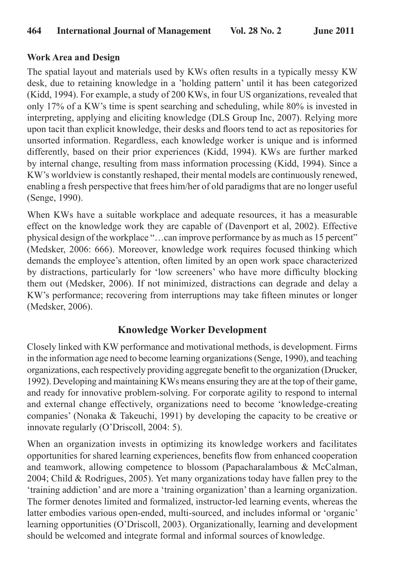#### **Work Area and Design**

The spatial layout and materials used by KWs often results in a typically messy KW desk, due to retaining knowledge in a 'holding pattern' until it has been categorized (Kidd, 1994). For example, a study of 200 KWs, in four US organizations, revealed that only 17% of a KW's time is spent searching and scheduling, while 80% is invested in interpreting, applying and eliciting knowledge (DLS Group Inc, 2007). Relying more upon tacit than explicit knowledge, their desks and floors tend to act as repositories for unsorted information. Regardless, each knowledge worker is unique and is informed differently, based on their prior experiences (Kidd, 1994). KWs are further marked by internal change, resulting from mass information processing (Kidd, 1994). Since a KW's worldview is constantly reshaped, their mental models are continuously renewed, enabling a fresh perspective that frees him/her of old paradigms that are no longer useful (Senge, 1990).

When KWs have a suitable workplace and adequate resources, it has a measurable effect on the knowledge work they are capable of (Davenport et al, 2002). Effective physical design of the workplace "…can improve performance by as much as 15 percent" (Medsker, 2006: 666). Moreover, knowledge work requires focused thinking which demands the employee's attention, often limited by an open work space characterized by distractions, particularly for 'low screeners' who have more difficulty blocking them out (Medsker, 2006). If not minimized, distractions can degrade and delay a KW's performance; recovering from interruptions may take fifteen minutes or longer (Medsker, 2006).

# **Knowledge Worker Development**

Closely linked with KW performance and motivational methods, is development. Firms in the information age need to become learning organizations (Senge, 1990), and teaching organizations, each respectively providing aggregate benefit to the organization (Drucker, 1992). Developing and maintaining KWs means ensuring they are at the top of their game, and ready for innovative problem-solving. For corporate agility to respond to internal and external change effectively, organizations need to become 'knowledge-creating companies' (Nonaka & Takeuchi, 1991) by developing the capacity to be creative or innovate regularly (O'Driscoll, 2004: 5).

When an organization invests in optimizing its knowledge workers and facilitates opportunities for shared learning experiences, benefits flow from enhanced cooperation and teamwork, allowing competence to blossom (Papacharalambous & McCalman, 2004; Child & Rodrigues, 2005). Yet many organizations today have fallen prey to the 'training addiction' and are more a 'training organization' than a learning organization. The former denotes limited and formalized, instructor-led learning events, whereas the latter embodies various open-ended, multi-sourced, and includes informal or 'organic' learning opportunities (O'Driscoll, 2003). Organizationally, learning and development should be welcomed and integrate formal and informal sources of knowledge.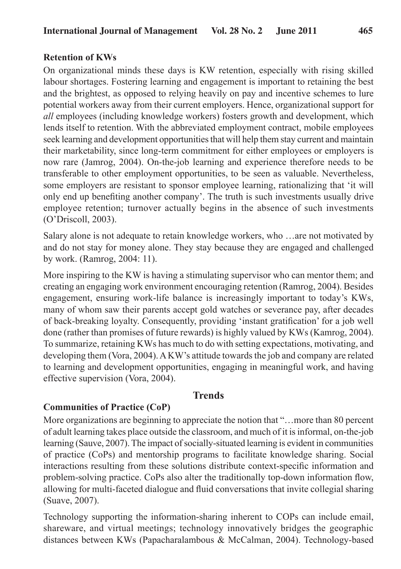#### **Retention of KWs**

On organizational minds these days is KW retention, especially with rising skilled labour shortages. Fostering learning and engagement is important to retaining the best and the brightest, as opposed to relying heavily on pay and incentive schemes to lure potential workers away from their current employers. Hence, organizational support for *all* employees (including knowledge workers) fosters growth and development, which lends itself to retention. With the abbreviated employment contract, mobile employees seek learning and development opportunities that will help them stay current and maintain their marketability, since long-term commitment for either employees or employers is now rare (Jamrog, 2004). On-the-job learning and experience therefore needs to be transferable to other employment opportunities, to be seen as valuable. Nevertheless, some employers are resistant to sponsor employee learning, rationalizing that 'it will only end up benefiting another company'. The truth is such investments usually drive employee retention; turnover actually begins in the absence of such investments (O'Driscoll, 2003).

Salary alone is not adequate to retain knowledge workers, who …are not motivated by and do not stay for money alone. They stay because they are engaged and challenged by work. (Ramrog, 2004: 11).

More inspiring to the KW is having a stimulating supervisor who can mentor them; and creating an engaging work environment encouraging retention (Ramrog, 2004). Besides engagement, ensuring work-life balance is increasingly important to today's KWs, many of whom saw their parents accept gold watches or severance pay, after decades of back-breaking loyalty. Consequently, providing 'instant gratification' for a job well done (rather than promises of future rewards) is highly valued by KWs (Kamrog, 2004). To summarize, retaining KWs has much to do with setting expectations, motivating, and developing them (Vora, 2004). A KW's attitude towards the job and company are related to learning and development opportunities, engaging in meaningful work, and having effective supervision (Vora, 2004).

## **Trends**

#### **Communities of Practice (CoP)**

More organizations are beginning to appreciate the notion that "…more than 80 percent of adult learning takes place outside the classroom, and much of it is informal, on-the-job learning (Sauve, 2007). The impact of socially-situated learning is evident in communities of practice (CoPs) and mentorship programs to facilitate knowledge sharing. Social interactions resulting from these solutions distribute context-specific information and problem-solving practice. CoPs also alter the traditionally top-down information flow, allowing for multi-faceted dialogue and fluid conversations that invite collegial sharing (Suave, 2007).

Technology supporting the information-sharing inherent to COPs can include email, shareware, and virtual meetings; technology innovatively bridges the geographic distances between KWs (Papacharalambous & McCalman, 2004). Technology-based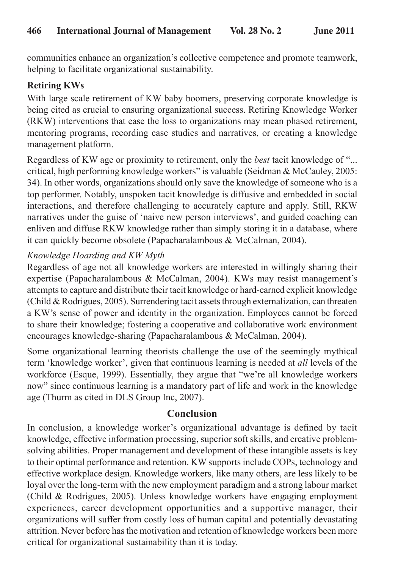communities enhance an organization's collective competence and promote teamwork, helping to facilitate organizational sustainability.

# **Retiring KWs**

With large scale retirement of KW baby boomers, preserving corporate knowledge is being cited as crucial to ensuring organizational success. Retiring Knowledge Worker (RKW) interventions that ease the loss to organizations may mean phased retirement, mentoring programs, recording case studies and narratives, or creating a knowledge management platform.

Regardless of KW age or proximity to retirement, only the *best* tacit knowledge of "... critical, high performing knowledge workers" is valuable (Seidman & McCauley, 2005: 34). In other words, organizations should only save the knowledge of someone who is a top performer. Notably, unspoken tacit knowledge is diffusive and embedded in social interactions, and therefore challenging to accurately capture and apply. Still, RKW narratives under the guise of 'naive new person interviews', and guided coaching can enliven and diffuse RKW knowledge rather than simply storing it in a database, where it can quickly become obsolete (Papacharalambous & McCalman, 2004).

# *Knowledge Hoarding and KW Myth*

Regardless of age not all knowledge workers are interested in willingly sharing their expertise (Papacharalambous & McCalman, 2004). KWs may resist management's attempts to capture and distribute their tacit knowledge or hard-earned explicit knowledge (Child & Rodrigues, 2005). Surrendering tacit assets through externalization, can threaten a KW's sense of power and identity in the organization. Employees cannot be forced to share their knowledge; fostering a cooperative and collaborative work environment encourages knowledge-sharing (Papacharalambous & McCalman, 2004).

Some organizational learning theorists challenge the use of the seemingly mythical term 'knowledge worker', given that continuous learning is needed at *all* levels of the workforce (Esque, 1999). Essentially, they argue that "we're all knowledge workers now" since continuous learning is a mandatory part of life and work in the knowledge age (Thurm as cited in DLS Group Inc, 2007).

# **Conclusion**

In conclusion, a knowledge worker's organizational advantage is defined by tacit knowledge, effective information processing, superior soft skills, and creative problemsolving abilities. Proper management and development of these intangible assets is key to their optimal performance and retention. KW supports include COPs, technology and effective workplace design. Knowledge workers, like many others, are less likely to be loyal over the long-term with the new employment paradigm and a strong labour market (Child & Rodrigues, 2005). Unless knowledge workers have engaging employment experiences, career development opportunities and a supportive manager, their organizations will suffer from costly loss of human capital and potentially devastating attrition. Never before has the motivation and retention of knowledge workers been more critical for organizational sustainability than it is today.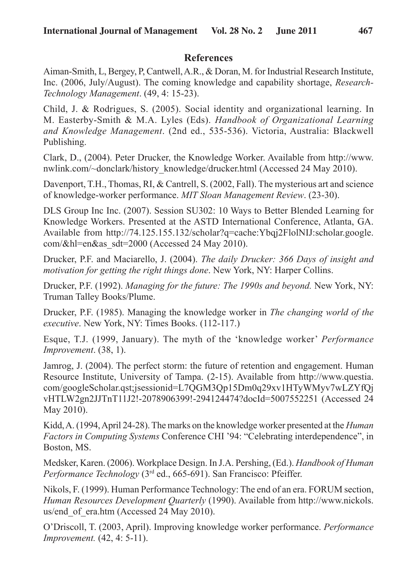## **References**

Aiman-Smith, L, Bergey, P, Cantwell, A.R., & Doran, M. for Industrial Research Institute, Inc. (2006, July/August). The coming knowledge and capability shortage, *Research-Technology Management*. (49, 4: 15-23).

Child, J. & Rodrigues, S. (2005). Social identity and organizational learning. In M. Easterby-Smith & M.A. Lyles (Eds). *Handbook of Organizational Learning and Knowledge Management*. (2nd ed., 535-536). Victoria, Australia: Blackwell Publishing.

Clark, D., (2004). Peter Drucker, the Knowledge Worker. Available from http://www. nwlink.com/~donclark/history\_knowledge/drucker.html (Accessed 24 May 2010).

Davenport, T.H., Thomas, RI, & Cantrell, S. (2002, Fall). The mysterious art and science of knowledge-worker performance. *MIT Sloan Management Review*. (23-30).

DLS Group Inc Inc. (2007). Session SU302: 10 Ways to Better Blended Learning for Knowledge Workers. Presented at the ASTD International Conference, Atlanta, GA. Available from http://74.125.155.132/scholar?q=cache:Ybqj2FlolNIJ:scholar.google. com/&hl=en&as\_sdt=2000 (Accessed 24 May 2010).

Drucker, P.F. and Maciarello, J. (2004). *The daily Drucker: 366 Days of insight and motivation for getting the right things done*. New York, NY: Harper Collins.

Drucker, P.F. (1992). *Managing for the future: The 1990s and beyond.* New York, NY: Truman Talley Books/Plume.

Drucker, P.F. (1985). Managing the knowledge worker in *The changing world of the executive*. New York, NY: Times Books. (112-117.)

Esque, T.J. (1999, January). The myth of the 'knowledge worker' *Performance Improvement*. (38, 1).

Jamrog, J. (2004). The perfect storm: the future of retention and engagement. Human Resource Institute, University of Tampa. (2-15). Available from http://www.questia. com/googleScholar.qst;jsessionid=L7QGM3Qp15Dm0q29xv1HTyWMyv7wLZYfQj vHTLW2gn2JJTnT11J2!-2078906399!-294124474?docId=5007552251 (Accessed 24 May 2010).

Kidd, A. (1994, April 24-28). The marks on the knowledge worker presented at the *Human Factors in Computing Systems* Conference CHI '94: "Celebrating interdependence", in Boston, MS.

Medsker, Karen. (2006). Workplace Design. In J.A. Pershing, (Ed.). *Handbook of Human Performance Technology* (3<sup>rd</sup> ed., 665-691). San Francisco: Pfeiffer.

Nikols, F. (1999). Human Performance Technology: The end of an era. FORUM section, *Human Resources Development Quarterly* (1990). Available from http://www.nickols. us/end\_of\_era.htm (Accessed 24 May 2010).

O'Driscoll, T. (2003, April). Improving knowledge worker performance. *Performance Improvement.* (42, 4: 5-11).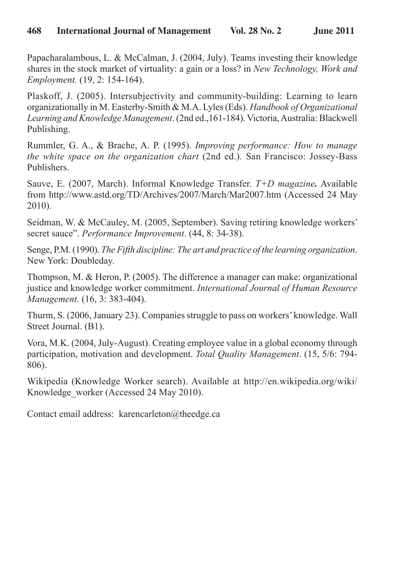Papacharalambous, L. & McCalman, J. (2004, July). Teams investing their knowledge shares in the stock market of virtuality: a gain or a loss? in *New Technology, Work and Employment.* (19, 2: 154-164).

Plaskoff, J. (2005). Intersubjectivity and community-building: Learning to learn organizationally in M. Easterby-Smith & M.A. Lyles (Eds). *Handbook of Organizational Learning and Knowledge Management*. (2nd ed.,161-184). Victoria, Australia: Blackwell Publishing.

Rummler, G. A., & Brache, A. P. (1995). *Improving performance: How to manage the white space on the organization chart* (2nd ed.)*.* San Francisco: Jossey-Bass Publishers.

Sauve, E. (2007, March). Informal Knowledge Transfer. *T+D magazine.* Available from http://www.astd.org/TD/Archives/2007/March/Mar2007.htm (Accessed 24 May 2010).

Seidman, W. & McCauley, M. (2005, September). Saving retiring knowledge workers' secret sauce". *Performance Improvement*. (44, 8: 34-38).

Senge, P.M. (1990). *The Fifth discipline: The art and practice of the learning organization*. New York: Doubleday.

Thompson, M. & Heron, P. (2005). The difference a manager can make: organizational justice and knowledge worker commitment. *International Journal of Human Resource Management*. (16, 3: 383-404).

Thurm, S. (2006, January 23). Companies struggle to pass on workers' knowledge. Wall Street Journal. (B1).

Vora, M.K. (2004, July-August). Creating employee value in a global economy through participation, motivation and development. *Total Quality Management*. (15, 5/6: 794- 806).

Wikipedia (Knowledge Worker search). Available at http://en.wikipedia.org/wiki/ Knowledge worker (Accessed 24 May 2010).

Contact email address: karencarleton@theedge.ca